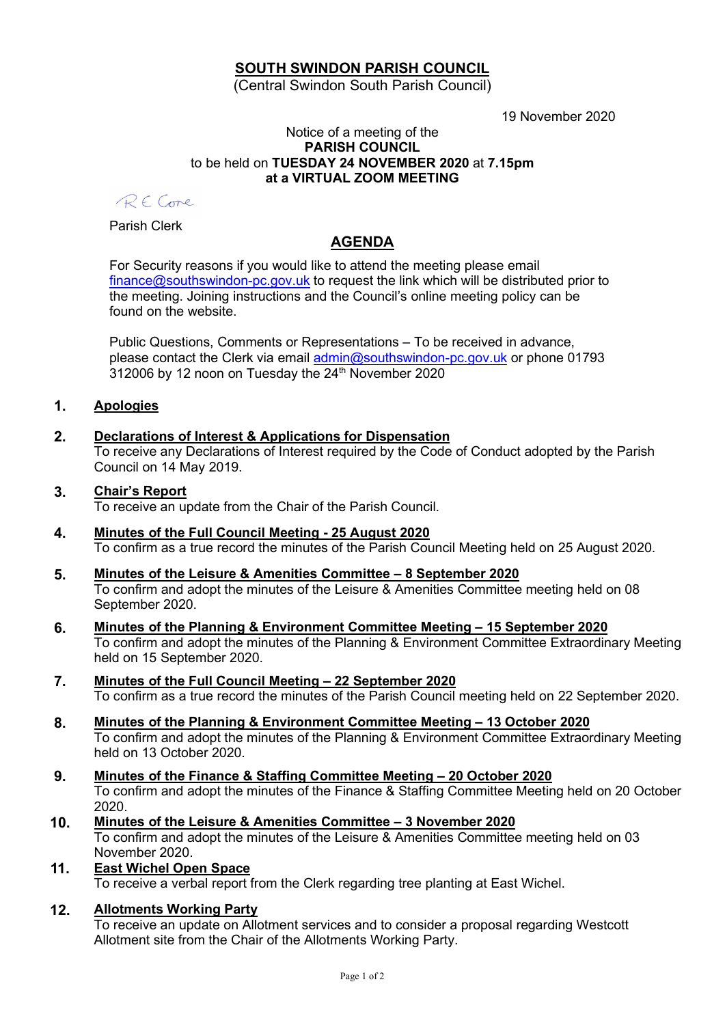## SOUTH SWINDON PARISH COUNCIL

(Central Swindon South Parish Council)

19 November 2020

### Notice of a meeting of the PARISH COUNCIL to be held on TUESDAY 24 NOVEMBER 2020 at 7.15pm at a VIRTUAL ZOOM MEETING

RECore

Parish Clerk

# AGENDA

For Security reasons if you would like to attend the meeting please email finance@southswindon-pc.gov.uk to request the link which will be distributed prior to the meeting. Joining instructions and the Council's online meeting policy can be found on the website.

Public Questions, Comments or Representations – To be received in advance, please contact the Clerk via email admin@southswindon-pc.gov.uk or phone 01793 312006 by 12 noon on Tuesday the 24<sup>th</sup> November 2020

### 1. Apologies

- 2. Declarations of Interest & Applications for Dispensation To receive any Declarations of Interest required by the Code of Conduct adopted by the Parish Council on 14 May 2019.
- 3. Chair's Report

To receive an update from the Chair of the Parish Council.

- 4. Minutes of the Full Council Meeting 25 August 2020 To confirm as a true record the minutes of the Parish Council Meeting held on 25 August 2020.
- 5. Minutes of the Leisure & Amenities Committee 8 September 2020 To confirm and adopt the minutes of the Leisure & Amenities Committee meeting held on 08 September 2020.
- 6. Minutes of the Planning & Environment Committee Meeting 15 September 2020 To confirm and adopt the minutes of the Planning & Environment Committee Extraordinary Meeting held on 15 September 2020.
- 7. Minutes of the Full Council Meeting 22 September 2020 To confirm as a true record the minutes of the Parish Council meeting held on 22 September 2020.
- 8. Minutes of the Planning & Environment Committee Meeting 13 October 2020 To confirm and adopt the minutes of the Planning & Environment Committee Extraordinary Meeting held on 13 October 2020.
- 9. Minutes of the Finance & Staffing Committee Meeting 20 October 2020 To confirm and adopt the minutes of the Finance & Staffing Committee Meeting held on 20 October 2020.
- 10. Minutes of the Leisure & Amenities Committee 3 November 2020 To confirm and adopt the minutes of the Leisure & Amenities Committee meeting held on 03 November 2020.
- 11. East Wichel Open Space

To receive a verbal report from the Clerk regarding tree planting at East Wichel.

12. Allotments Working Party

To receive an update on Allotment services and to consider a proposal regarding Westcott Allotment site from the Chair of the Allotments Working Party.